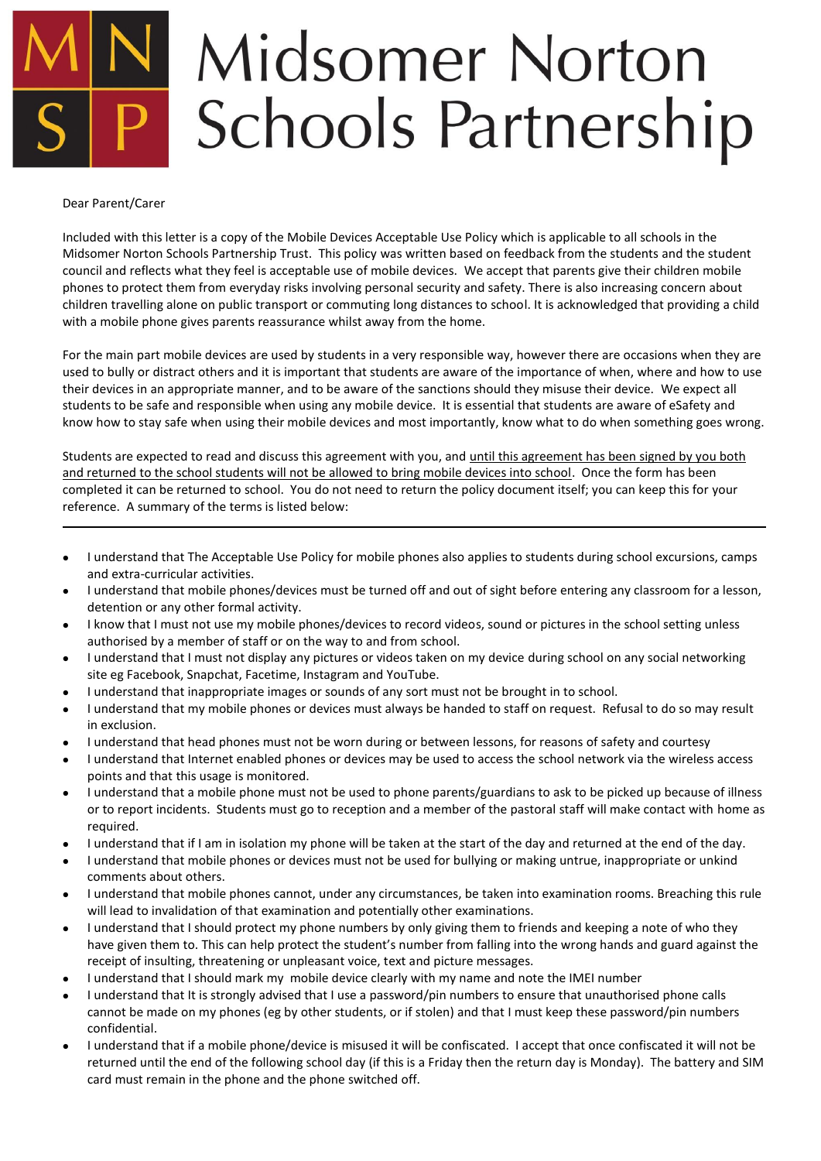# **Midsomer Norton Schools Partnership**

#### Dear Parent/Carer

Included with this letter is a copy of the Mobile Devices Acceptable Use Policy which is applicable to all schools in the Midsomer Norton Schools Partnership Trust. This policy was written based on feedback from the students and the student council and reflects what they feel is acceptable use of mobile devices. We accept that parents give their children mobile phones to protect them from everyday risks involving personal security and safety. There is also increasing concern about children travelling alone on public transport or commuting long distances to school. It is acknowledged that providing a child with a mobile phone gives parents reassurance whilst away from the home.

For the main part mobile devices are used by students in a very responsible way, however there are occasions when they are used to bully or distract others and it is important that students are aware of the importance of when, where and how to use their devices in an appropriate manner, and to be aware of the sanctions should they misuse their device. We expect all students to be safe and responsible when using any mobile device. It is essential that students are aware of eSafety and know how to stay safe when using their mobile devices and most importantly, know what to do when something goes wrong.

Students are expected to read and discuss this agreement with you, and until this agreement has been signed by you both and returned to the school students will not be allowed to bring mobile devices into school. Once the form has been completed it can be returned to school. You do not need to return the policy document itself; you can keep this for your reference. A summary of the terms is listed below:

- I understand that The Acceptable Use Policy for mobile phones also applies to students during school excursions, camps and extra-curricular activities.
- $\bullet$  I understand that mobile phones/devices must be turned off and out of sight before entering any classroom for a lesson, detention or any other formal activity.
- I know that I must not use my mobile phones/devices to record videos, sound or pictures in the school setting unless authorised by a member of staff or on the way to and from school.
- I understand that I must not display any pictures or videos taken on my device during school on any social networking site eg Facebook, Snapchat, Facetime, Instagram and YouTube.
- I understand that inappropriate images or sounds of any sort must not be brought in to school.
- I understand that my mobile phones or devices must always be handed to staff on request. Refusal to do so may result in exclusion.
- I understand that head phones must not be worn during or between lessons, for reasons of safety and courtesy
- I understand that Internet enabled phones or devices may be used to access the school network via the wireless access points and that this usage is monitored.
- I understand that a mobile phone must not be used to phone parents/guardians to ask to be picked up because of illness or to report incidents. Students must go to reception and a member of the pastoral staff will make contact with home as required.
- I understand that if I am in isolation my phone will be taken at the start of the day and returned at the end of the day.
- I understand that mobile phones or devices must not be used for bullying or making untrue, inappropriate or unkind comments about others.
- I understand that mobile phones cannot, under any circumstances, be taken into examination rooms. Breaching this rule will lead to invalidation of that examination and potentially other examinations.
- I understand that I should protect my phone numbers by only giving them to friends and keeping a note of who they have given them to. This can help protect the student's number from falling into the wrong hands and guard against the receipt of insulting, threatening or unpleasant voice, text and picture messages.
- I understand that I should mark my mobile device clearly with my name and note the IMEI number
- I understand that It is strongly advised that I use a password/pin numbers to ensure that unauthorised phone calls cannot be made on my phones (eg by other students, or if stolen) and that I must keep these password/pin numbers confidential.
- I understand that if a mobile phone/device is misused it will be confiscated. I accept that once confiscated it will not be returned until the end of the following school day (if this is a Friday then the return day is Monday). The battery and SIM card must remain in the phone and the phone switched off.